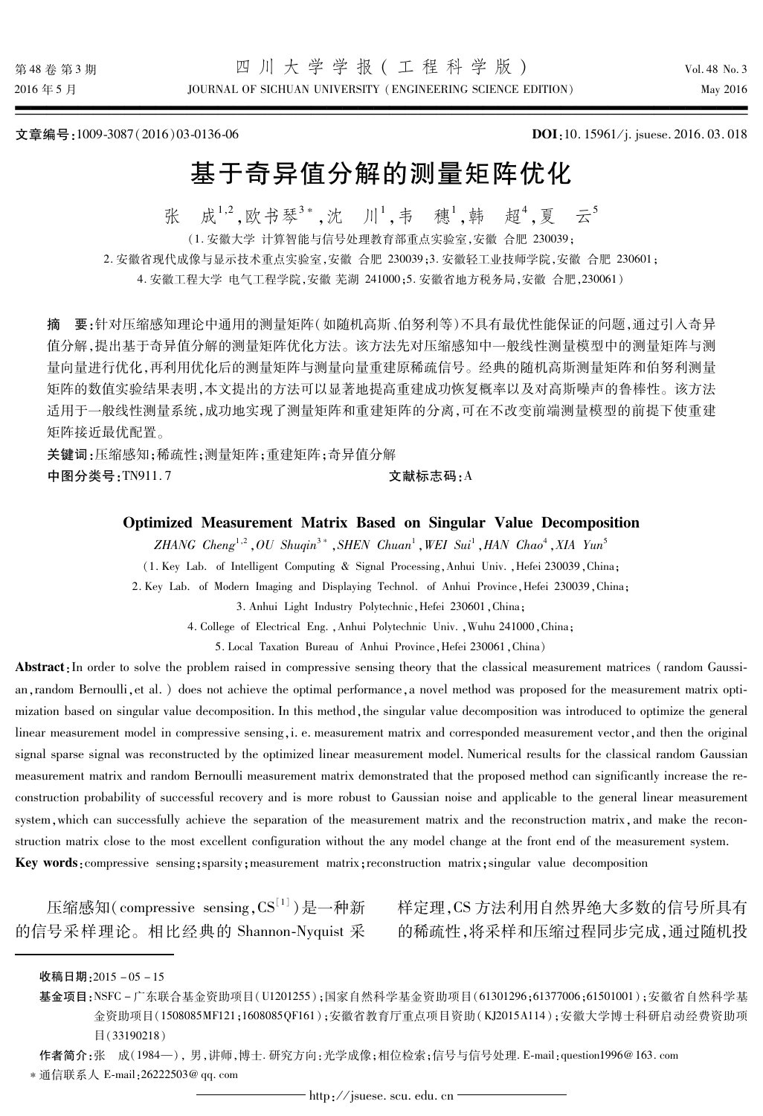JOURNAL OF SICHUAN UNIVERSITY (ENGINEERING SCIENCE EDITION)

文章编号:1009-3087(2016)03-0136-06

DOI:10.15961/j. jsuese. 2016.03.018

# 基于奇异值分解的测量矩阵优化

成<sup>1,2</sup>,欧书琴<sup>3</sup>\*,沈 川<sup>1</sup>,韦 穗<sup>1</sup>,韩 超<sup>4</sup>,夏 云<sup>5</sup> 张

(1. 安徽大学 计算智能与信号外理教育部重占实验室 安徽 合肥 230039:

2. 安徽省现代成像与显示技术重点实验室,安徽 合肥 230039;3. 安徽轻工业技师学院,安徽 合肥 230601;

4. 安徽工程大学 电气工程学院, 安徽 芜湖 241000:5. 安徽省地方税务局, 安徽 合肥, 230061)

摘 要:针对压缩感知理论中通用的测量矩阵(如随机高斯、伯努利等)不具有最优性能保证的问题,通过引入奇异 值分解,提出基于奇异值分解的测量矩阵优化方法。该方法先对压缩感知中一般线性测量模型中的测量矩阵与测 量向量进行优化,再利用优化后的测量矩阵与测量向量重建原稀疏信号。 经典的随机高斯测量矩阵和伯努利测量 矩阵的数值实验结果表明,本文提出的方法可以显著地提高重建成功恢复概率以及对高斯噪声的鲁棒性。该方法 适用于一般线性测量系统,成功地实现了测量矩阵和重建矩阵的分离,可在不改变前端测量模型的前提下使重建 矩阵接近最优配置。

关键词:压缩感知:稀疏性:测量矩阵:重建矩阵:奇异值分解 中图分类号:TN911.7 文献标志码:A

Optimized Measurement Matrix Based on Singular Value Decomposition

ZHANG Cheng<sup>1,2</sup>, OU Shuqin<sup>3</sup>\*, SHEN Chuan<sup>1</sup>, WEI Sui<sup>1</sup>, HAN Chao<sup>4</sup>, XIA Yun<sup>5</sup>

(1. Key Lab. of Intelligent Computing & Signal Processing, Anhui Univ., Hefei 230039, China:

2. Key Lab. of Modern Imaging and Displaying Technol. of Anhui Province, Hefei 230039, China;

3. Anhui Light Industry Polytechnic, Hefei 230601, China:

4. College of Electrical Eng. , Anhui Polytechnic Univ. , Wuhu 241000, China;

5. Local Taxation Bureau of Anhui Province, Hefei 230061, China)

Abstract: In order to solve the problem raised in compressive sensing theory that the classical measurement matrices (random Gaussian, random Bernoulli, et al. ) does not achieve the optimal performance, a novel method was proposed for the measurement matrix optimization based on singular value decomposition. In this method, the singular value decomposition was introduced to optimize the general linear measurement model in compressive sensing, i. e. measurement matrix and corresponded measurement vector, and then the original signal sparse signal was reconstructed by the optimized linear measurement model. Numerical results for the classical random Gaussian measurement matrix and random Bernoulli measurement matrix demonstrated that the proposed method can significantly increase the reconstruction probability of successful recovery and is more robust to Gaussian noise and applicable to the general linear measurement system, which can successfully achieve the separation of the measurement matrix and the reconstruction matrix, and make the reconstruction matrix close to the most excellent configuration without the any model change at the front end of the measurement system. Key words: compressive sensing; sparsity; measurement matrix; reconstruction matrix; singular value decomposition

的信号采样理论。相比经典的 Shannon-Nyquist 采 的稀疏性,将采样和压缩过程同步完成,通过随机投

压缩感知(compressive sensing,  $CS^{[1]}$ )是一种新 样定理, CS 方法利用自然界绝大多数的信号所具有

作者简介:张 成(1984—), 男,讲师,博士.研究方向:光学成像;相位检索;信号与信号处理. E-mail:question1996@163.com

收稿日期: 2015-05-15

基金项目:NSFC-广东联合基金资助项目(U1201255);国家自然科学基金资助项目(61301296;61377006;61501001);安徽省自然科学基 金资助项目(1508085MF121;1608085QF161);安徽省教育厅重点项目资助(KJ2015A114);安徽大学博士科研启动经费资助项 目(33190218)

<sup>\*</sup> 通信联系人 E-mail: 26222503@ qq. com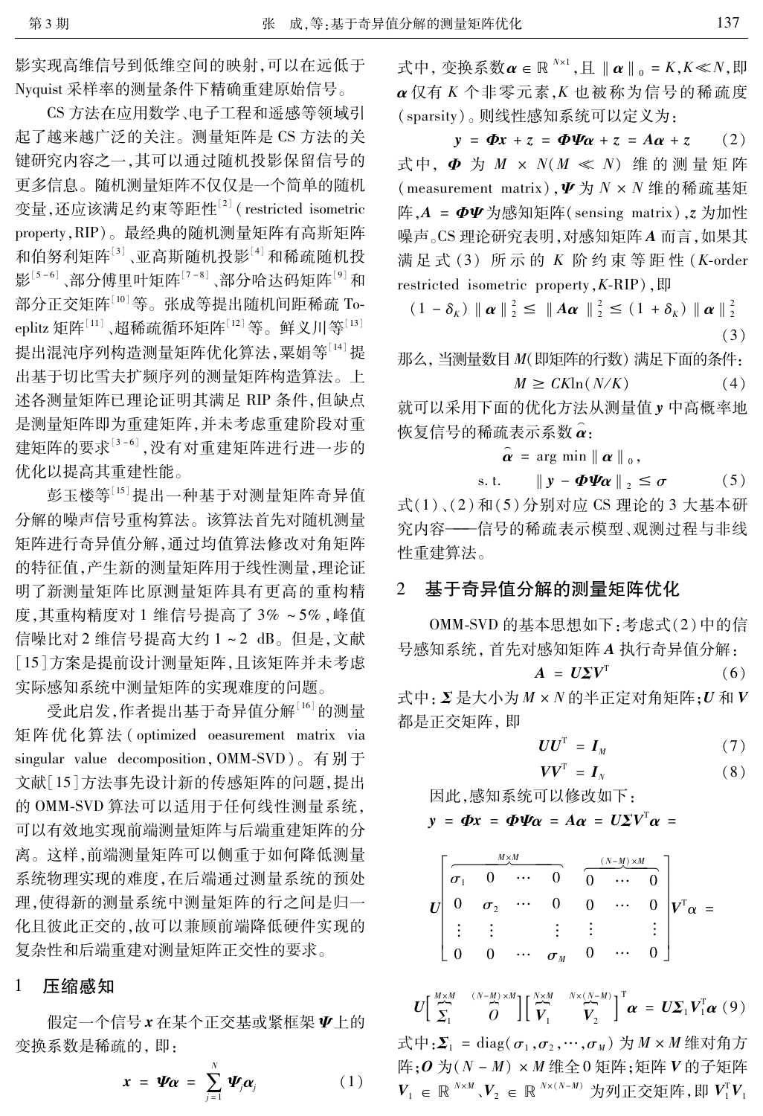影实现高维信号到低维空间的映射,可以在远低于 Nyquist 采样率的测量条件下精确重建原始信号。

CS 方法在应用数学、电子工程和遥感等领域引 起了越来越广泛的关注。测量矩阵是 CS 方法的关 键研究内容之一,其可以通过随机投影保留信号的 更多信息。随机测量矩阵不仅仅是一个简单的随机 变量,还应该满足约束等距性<sup>[2]</sup> (restricted isometric property, RIP)。最经典的随机测量矩阵有高斯矩阵 和伯努利矩阵[3]、亚高斯随机投影[4] 和稀疏随机投 影<sup>[5-6]</sup>、部分傅里叶矩阵<sup>[7-8]</sup>、部分哈达码矩阵<sup>[9]</sup>和 部分正交矩阵[10]等。张成等提出随机间距稀疏 Toeplitz 矩阵<sup>[11]</sup>、超稀疏循环矩阵<sup>[12]</sup> 等。鲜义川等<sup>[13]</sup> 提出混沌序列构造测量矩阵优化算法,粟娟等[14]提 出基于切比雪夫扩频序列的测量矩阵构造算法。上 述各测量矩阵已理论证明其满足 RIP 条件,但缺点 是测量矩阵即为重建矩阵,并未考虑重建阶段对重 建矩阵的要求[3-6],没有对重建矩阵进行进一步的 优化以提高其重建性能。

彭玉楼等[15] 提出一种基于对测量矩阵奇异值 分解的噪声信号重构算法。该算法首先对随机测量 矩阵进行奇异值分解,通过均值算法修改对角矩阵 的特征值,产生新的测量矩阵用于线性测量,理论证 明了新测量矩阵比原测量矩阵具有更高的重构精 度,其重构精度对1维信号提高了3%~5%,峰值 信噪比对2维信号提高大约1~2 dB。但是,文献 [15]方案是提前设计测量矩阵,且该矩阵并未考虑 实际感知系统中测量矩阵的实现难度的问题。

受此启发,作者提出基于奇异值分解[16]的测量 矩阵优化算法 (optimized oeasurement matrix via singular value decomposition, OMM-SVD)。有别于 文献[15]方法事先设计新的传感矩阵的问题,提出 的 OMM-SVD 算法可以适用于任何线性测量系统, 可以有效地实现前端测量矩阵与后端重建矩阵的分 离。这样,前端测量矩阵可以侧重于如何降低测量 系统物理实现的难度,在后端通过测量系统的预处 理,使得新的测量系统中测量矩阵的行之间是归一 化且彼此正交的,故可以兼顾前端降低硬件实现的 复杂性和后端重建对测量矩阵正交性的要求。

## $\mathbf{1}$ 压缩感知

假定一个信号x在某个正交基或紧框架V上的 变换系数是稀疏的,即:

$$
\mathbf{r} = \mathbf{\Psi} \boldsymbol{\alpha} = \sum_{j=1}^{N} \mathbf{\Psi}_{j} \boldsymbol{\alpha}_{j} \qquad (1)
$$

式中, 变换系数  $\boldsymbol{\alpha} \in \mathbb{R}^{N \times 1}$ , 且  $\|\boldsymbol{\alpha}\|_0 = K, K \ll N$ , 即 α 仅有 K 个非零元素, K 也被称为信号的稀疏度 (sparsity)。则线性感知系统可以定义为:

 $y = \Phi x + z = \Phi \Psi \alpha + z = A \alpha + z$  $(2)$ 式中,  $\Phi$  为  $M \times N(M \ll N)$  维的测量矩阵 (measurement matrix),  $\Psi$  为  $N \times N$  维的稀疏基矩 阵, $A = \Phi \Psi$ 为感知矩阵(sensing matrix),  $z$  为加性 噪声。CS 理论研究表明,对感知矩阵 A 而言,如果其 满足式 (3) 所示的 K 阶约束等距性 (K-order restricted isometric property,  $K$ -RIP),  $\sharp$ 

 $(1 - \delta_K) \| \alpha \|_2^2 \leq \| A \alpha \|_2^2 \leq (1 + \delta_K) \| \alpha \|_2^2$  $(3)$ 

那么, 当测量数目 M(即矩阵的行数) 满足下面的条件:  $M \geq C K \ln(N/K)$  $(4)$ 

就可以采用下面的优化方法从测量值 v 中高概率地 恢复信号的稀疏表示系数 α:

$$
\hat{\boldsymbol{\alpha}} = \arg \min || \boldsymbol{\alpha} ||_0,
$$

s. t.  $\parallel y - \boldsymbol{\Phi}\boldsymbol{\varPsi}\boldsymbol{\alpha}\parallel_{2} \ \leq \sigma$  $(5)$ 

式(1)、(2)和(5)分别对应 CS 理论的 3 大基本研 究内容——信号的稀疏表示模型、观测过程与非线 性重建算法。

## $\overline{2}$ 基于奇异值分解的测量矩阵优化

OMM-SVD 的基本思想如下:考虑式(2)中的信 号感知系统, 首先对感知矩阵 A 执行奇异值分解:

$$
A = U\Sigma V^{T} \tag{6}
$$

式中: Σ是大小为 M × N 的半正定对角矩阵; U 和 V 都是正交矩阵,即

$$
UU^{\mathrm{T}} = I_M \tag{7}
$$

$$
VV^{\mathrm{T}} = I_N \tag{8}
$$

因此,感知系统可以修改如下:

$$
y = \Phi x = \Phi \Psi \alpha = A \alpha = U \Sigma V^T \alpha =
$$

| $M \times M$ |            |          |                                 | $(N-M) \times M$ |          |   |          |     |
|--------------|------------|----------|---------------------------------|------------------|----------|---|----------|-----|
|              |            | $\cdots$ |                                 |                  |          |   |          |     |
|              | $\sigma$ , | $\cdots$ |                                 |                  | $\cdots$ |   | $\tau$ T | $=$ |
|              |            |          |                                 | ٠                |          | ٠ |          |     |
|              |            | $\cdots$ | $\sigma_{\scriptscriptstyle M}$ |                  | $\cdots$ |   |          |     |

 $U\left[\begin{array}{cc} \stackrel{M\times M}{\sim} & ^{(N-M)\times M} \\ \Sigma_1 & O \end{array}\right]\left[\begin{array}{cc} \stackrel{N\times M}{\sim} & ^{N\times(N-M)} \\ V_1 & V_2 \end{array}\right]^{\rm T}\pmb{\alpha} \;=\; U\Sigma_1V_1^{\rm T}\pmb{\alpha} \;(9)$ 

式中: $\Sigma_1$  = diag( $\sigma_1$ , $\sigma_2$ , $\cdots$ , $\sigma_M$ ) 为  $M \times M$  维对角方 阵;  $O$  为 $(N - M) \times M$  维全 0 矩阵; 矩阵  $V$  的子矩阵  $V_1 \in \mathbb{R}^{N \times M}$ ,  $V_2 \in \mathbb{R}^{N \times (N-M)}$  为列正交矩阵, 即  $V_1^T V_1$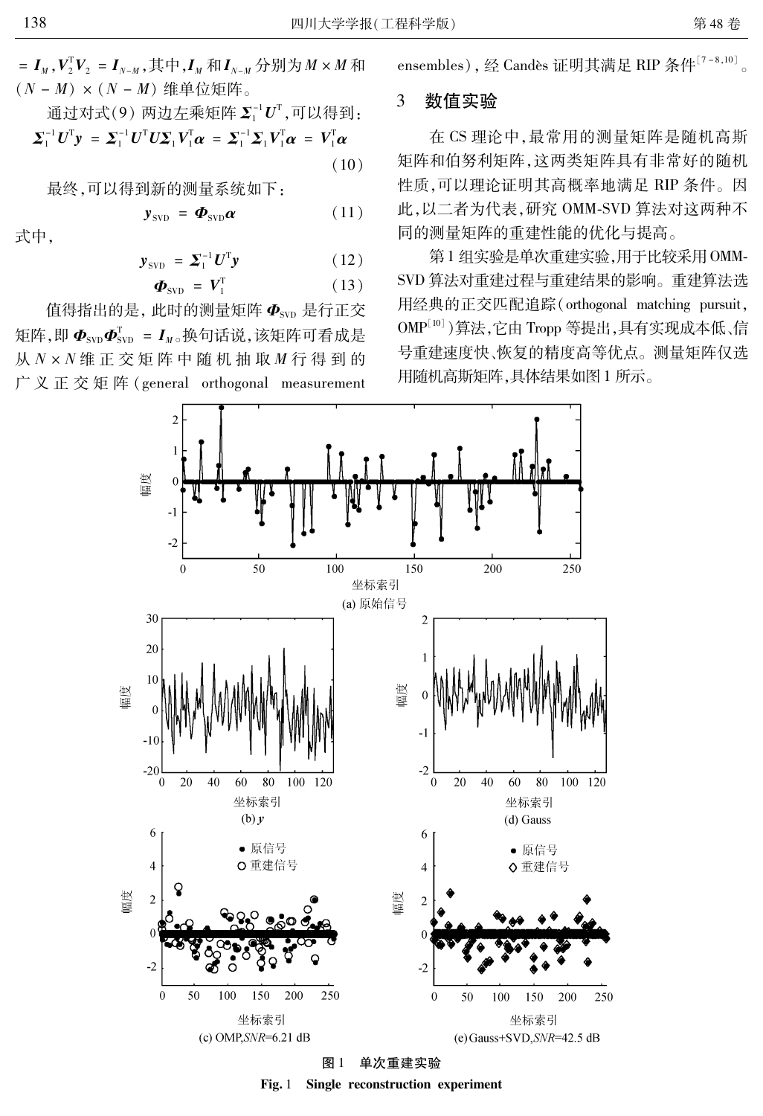=  $I_M$ ,  $V_2^T V_2 = I_{N-M}$ , 其中,  $I_M$  和 $I_{N-M}$  分别为 $M \times M$  和  $(N - M) \times (N - M)$ 维单位矩阵。

$$
\text{1} \quad \text{1} \quad \text{1} \quad \text{1} \quad \text{2} \quad \text{1} \quad \text{2} \quad \text{2} \quad \text{3} \quad \text{3} \quad \text{3} \quad \text{4} \quad \text{4} \quad \text{5} \quad \text{4} \quad \text{5} \quad \text{6} \quad \text{7} \quad \text{8} \quad \text{8} \quad \text{9} \quad \text{1} \quad \text{1} \quad \text{1} \quad \text{1} \quad \text{1} \quad \text{1} \quad \text{2} \quad \text{1} \quad \text{2} \quad \text{1} \quad \text{2} \quad \text{1} \quad \text{2} \quad \text{1} \quad \text{2} \quad \text{1} \quad \text{2} \quad \text{1} \quad \text{2} \quad \text{1} \quad \text{2} \quad \text{2} \quad \text{1} \quad \text{2} \quad \text{2} \quad \text{1} \quad \text{2} \quad \text{2} \quad \text{2} \quad \text{2} \quad \text{2} \quad \text{2} \quad \text{2} \quad \text{2} \quad \text{2} \quad \text{2} \quad \text{2} \quad \text{2} \quad \text{2} \quad \text{2} \quad \text{2} \quad \text{2} \quad \text{2} \quad \text{2} \quad \text{2} \quad \text{2} \quad \text{2} \quad \text{2} \quad \text{2} \quad \text{2} \quad \text{2} \quad \text{2} \quad \text{2} \quad \text{2} \quad \text{2} \quad \text{2} \quad \text{2} \quad \text{2} \quad \text{2} \quad \text{2} \quad \text{2} \quad \text{2} \quad \text{2} \quad \text{2} \quad \text{2} \quad \text{2} \quad \text{2} \quad \text{2} \quad \text{2} \quad \text{2} \quad \text{2} \quad \text{2} \quad \text{2} \quad \text{2} \quad \text{2} \quad \text{2} \quad \text{2} \quad \text{2} \quad \text{2} \quad \text{2} \quad \text{2} \quad \text{2} \quad \text{2} \quad \text{2} \quad \text{2} \quad \text{2} \quad \text{2} \quad \text{
$$

最终,可以得到新的测量系统如下:

$$
\mathbf{y}_{\text{SVD}} = \boldsymbol{\Phi}_{\text{SVD}} \boldsymbol{\alpha} \tag{11}
$$

式中,

$$
\mathbf{y}_{\text{SVD}} = \boldsymbol{\Sigma}_1^{-1} \boldsymbol{U}^{\text{T}} \mathbf{y} \tag{12}
$$

$$
\boldsymbol{\Phi}_{\text{SVD}} = \boldsymbol{V}_{1}^{\text{T}} \tag{13}
$$

值得指出的是,此时的测量矩阵  $\Phi_{\tiny\mbox{SVD}}$ 是行正交 矩阵,即 $\Phi_{\rm svn} \Phi_{\rm svn}^{\rm T} = I_{\rm w}$ 。换句话说,该矩阵可看成是 从 N × N 维 正 交 矩 阵 中 随 机 抽 取 M 行 得 到 的 广义正交矩阵 (general orthogonal measurement ensembles), 经 Candès 证明其满足 RIP 条件[7-8,10]。

### 3 数值实验

在 CS 理论中, 最常用的测量矩阵是随机高斯 矩阵和伯努利矩阵,这两类矩阵具有非常好的随机 性质,可以理论证明其高概率地满足 RIP 条件。因 此,以二者为代表,研究 OMM-SVD 算法对这两种不 同的测量矩阵的重建性能的优化与提高。

第1组实验是单次重建实验,用于比较采用OMM-SVD 算法对重建过程与重建结果的影响。重建算法选 用经典的正交匹配追踪(orthogonal matching pursuit, OMP[10]) 算法, 它由 Tropp 等提出, 具有实现成本低、信 号重建速度快、恢复的精度高等优点。测量矩阵仅选 用随机高斯矩阵,具体结果如图 1 所示。



Fig. 1 Single reconstruction experiment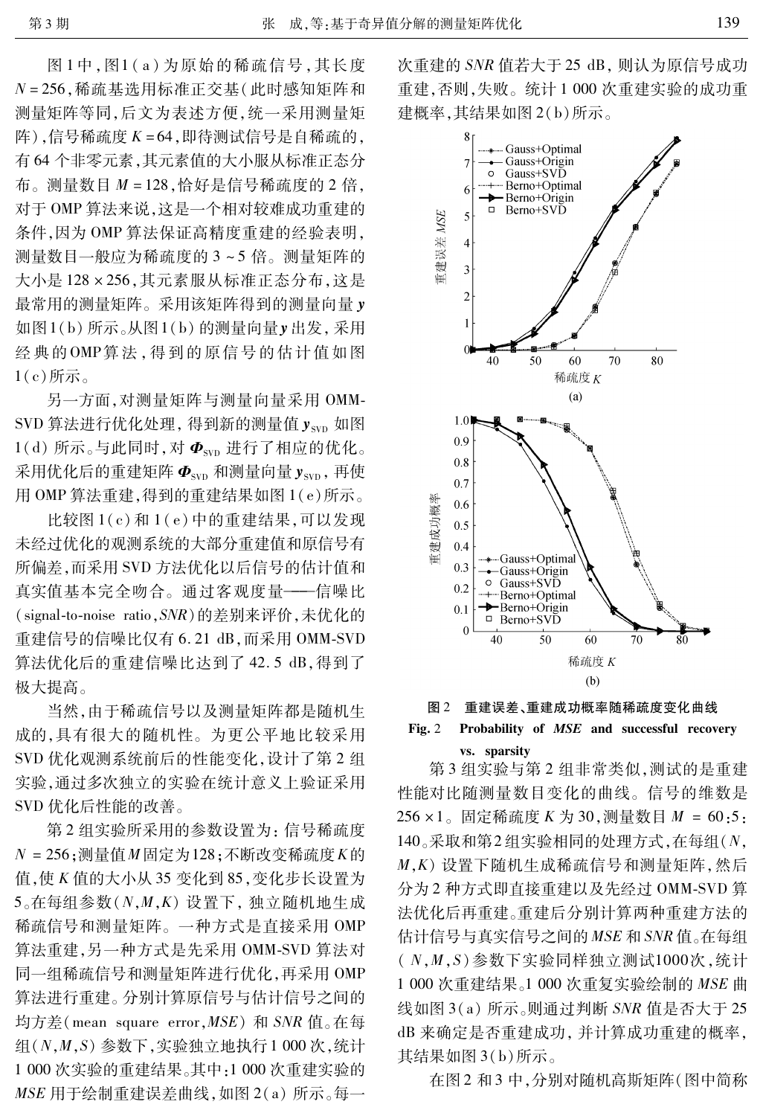图1中,图1(a)为原始的稀疏信号,其长度 N=256,稀疏基选用标准正交基(此时感知矩阵和 测量矩阵等同,后文为表述方便,统一采用测量矩 阵),信号稀疏度 K=64,即待测试信号是自稀疏的, 有64个非零元素,其元素值的大小服从标准正态分 布。测量数目 M = 128,恰好是信号稀疏度的 2 倍, 对于OMP 算法来说,这是一个相对较难成功重建的 条件,因为OMP 算法保证高精度重建的经验表明, 测量数目一般应为稀疏度的3~5倍。测量矩阵的 大小是128×256,其元素服从标准正态分布,这是 最常用的测量矩阵。采用该矩阵得到的测量向量y 如图1(b)所示。从图1(b)的测量向量y出发,采用 经典的OMP算法,得到的原信号的估计值如图  $1(c)$ 所示。

另一方面,对测量矩阵与测量向量采用 OMM-SVD 算法进行优化处理, 得到新的测量值 ysyn 如图  $1(d)$  所示。与此同时, 对 $\Phi_{\rm sw}$  进行了相应的优化。 采用优化后的重建矩阵 $\Phi_{\text{syn}}$ 和测量向量 $y_{\text{syn}}$ ,再使 用 OMP 算法重建,得到的重建结果如图 1(e)所示。

比较图 1(c)和 1(e)中的重建结果,可以发现 未经过优化的观测系统的大部分重建值和原信号有 所偏差,而采用 SVD 方法优化以后信号的估计值和 真实值基本完全吻合。通过客观度量——信噪比 (signal-to-noise ratio, SNR)的差别来评价, 未优化的 重建信号的信噪比仅有 6.21 dB, 而采用 OMM-SVD 算法优化后的重建信噪比达到了 42.5 dB,得到了 极大提高。

当然,由于稀疏信号以及测量矩阵都是随机生 成的,具有很大的随机性。为更公平地比较采用 SVD 优化观测系统前后的性能变化, 设计了第2组 实验,通过多次独立的实验在统计意义上验证采用 SVD 优化后性能的改善。

第2组实验所采用的参数设置为:信号稀疏度  $N = 256$ ;测量值 $M$ 固定为128;不断改变稀疏度 $K$ 的 值, 使 K 值的大小从 35 变化到 85, 变化步长设置为  $5_{\circ}$ 在每组参数 $(N, M, K)$ 设置下, 独立随机地生成 稀疏信号和测量矩阵。一种方式是直接采用 OMP 算法重建,另一种方式是先采用 OMM-SVD 算法对 同一组稀疏信号和测量矩阵进行优化,再采用OMP 算法进行重建。分别计算原信号与估计信号之间的 均方差(mean square error, MSE) 和 SNR 值。在每 组 $(N, M, S)$ 参数下,实验独立地执行1000次,统计 1 000 次实验的重建结果。其中:1 000 次重建实验的 MSE 用于绘制重建误差曲线, 如图 2(a) 所示。每一 次重建的 SNR 值若大于 25 dB, 则认为原信号成功 重建,否则,失败。统计1000次重建实验的成功重 建概率,其结果如图 2(b)所示。





## $Fig. 2$ Probability of MSE and successful recovery vs. sparsity

第3组实验与第2组非常类似,测试的是重建 性能对比随测量数目变化的曲线。信号的维数是 256 × 1。固定稀疏度 K 为 30, 测量数目 M = 60:5: 140。采取和第2组实验相同的处理方式,在每组(N, M, K) 设置下随机生成稀疏信号和测量矩阵, 然后 分为2种方式即直接重建以及先经过 OMM-SVD 算 法优化后再重建。重建后分别计算两种重建方法的 估计信号与真实信号之间的 MSE 和 SNR 值。在每组  $(N, M, S)$ 参数下实验同样独立测试1000次,统计 1 000 次重建结果。1 000 次重复实验绘制的 MSE 曲 线如图 3(a) 所示。则通过判断 SNR 值是否大于 25 dB 来确定是否重建成功, 并计算成功重建的概率, 其结果如图 3(b)所示。

在图 2 和 3 中, 分别对随机高斯矩阵(图中简称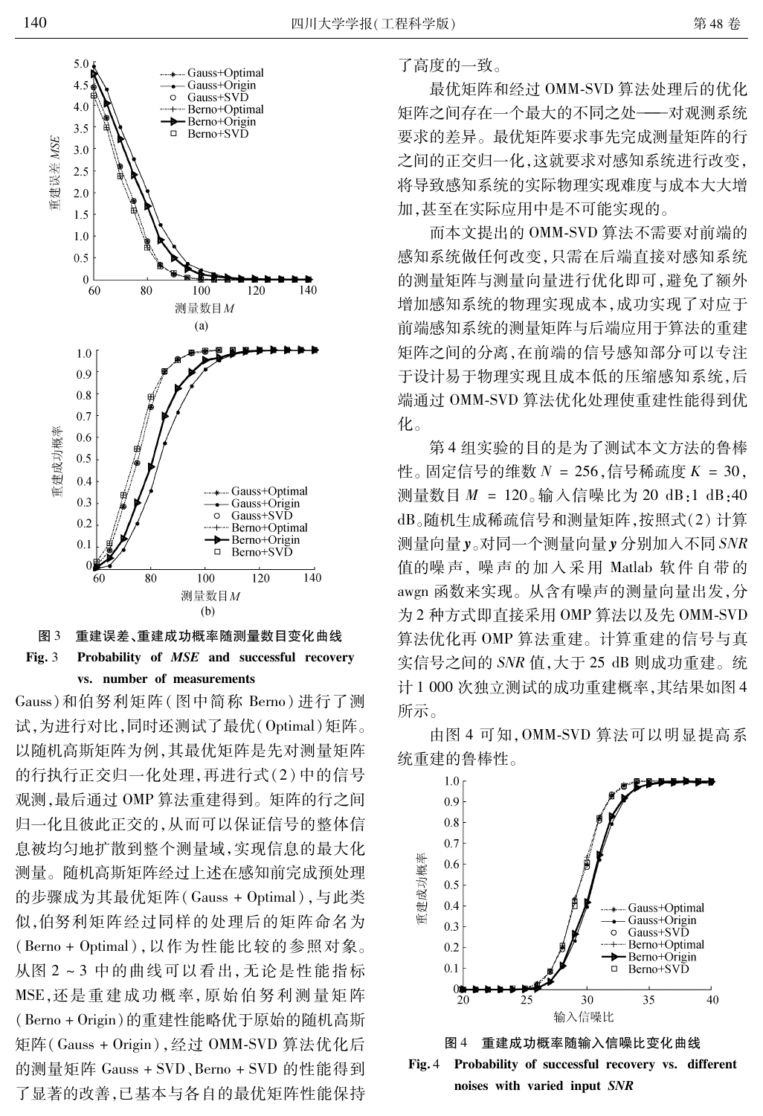



Gauss)和伯努利矩阵(图中简称 Berno)进行了测 试,为进行对比,同时还测试了最优(Optimal)矩阵。 以随机高斯矩阵为例,其最优矩阵是先对测量矩阵 的行执行正交归一化处理,再进行式(2)中的信号 观测,最后通过OMP 算法重建得到。矩阵的行之间 归一化且彼此正交的,从而可以保证信号的整体信 息被均匀地扩散到整个测量域,实现信息的最大化 测量。随机高斯矩阵经过上述在感知前完成预处理 的步骤成为其最优矩阵(Gauss + Optimal),与此类 似,伯努利矩阵经过同样的处理后的矩阵命名为 (Berno + Optimal), 以作为性能比较的参照对象。 从图 2~3 中的曲线可以看出,无论是性能指标 MSE,还是重建成功概率,原始伯努利测量矩阵 (Berno + Origin)的重建性能略优于原始的随机高斯 矩阵(Gauss + Origin), 经过 OMM-SVD 算法优化后 的测量矩阵 Gauss + SVD、Berno + SVD 的性能得到 了显著的改善,已基本与各自的最优矩阵性能保持 了高度的一致。

最优矩阵和经过 OMM-SVD 算法处理后的优化 矩阵之间存在一个最大的不同之处——对观测系统 要求的差异。最优矩阵要求事先完成测量矩阵的行 之间的正交归一化,这就要求对感知系统进行改变, 将导致感知系统的实际物理实现难度与成本大大增 加,甚至在实际应用中是不可能实现的。

而本文提出的 OMM-SVD 算法不需要对前端的 感知系统做任何改变,只需在后端直接对感知系统 的测量矩阵与测量向量进行优化即可,避免了额外 增加感知系统的物理实现成本,成功实现了对应于 前端感知系统的测量矩阵与后端应用于算法的重建 矩阵之间的分离, 在前端的信号感知部分可以专注 于设计易于物理实现且成本低的压缩感知系统,后 端通过 OMM-SVD 算法优化处理使重建性能得到优 化。

第4组实验的目的是为了测试本文方法的鲁棒 性。固定信号的维数  $N = 256$ , 信号稀疏度  $K = 30$ , 测量数目 M = 120。输入信噪比为 20 dB:1 dB:40 dB。随机生成稀疏信号和测量矩阵,按照式(2)计算 测量向量y。对同一个测量向量y分别加入不同 SNR 值的噪声,噪声的加入采用 Matlab 软件自带的 awgn 函数来实现。从含有噪声的测量向量出发,分 为2种方式即直接采用 OMP 算法以及先 OMM-SVD 算法优化再 OMP 算法重建。计算重建的信号与真 实信号之间的 SNR 值,大于 25 dB 则成功重建。统 计1000次独立测试的成功重建概率,其结果如图4 所示。



由图 4 可知, OMM-SVD 算法可以明显提高系 统重建的鲁棒性。

重建成功概率随输入信噪比变化曲线 图 4 Fig. 4 Probability of successful recovery vs. different noises with varied input SNR